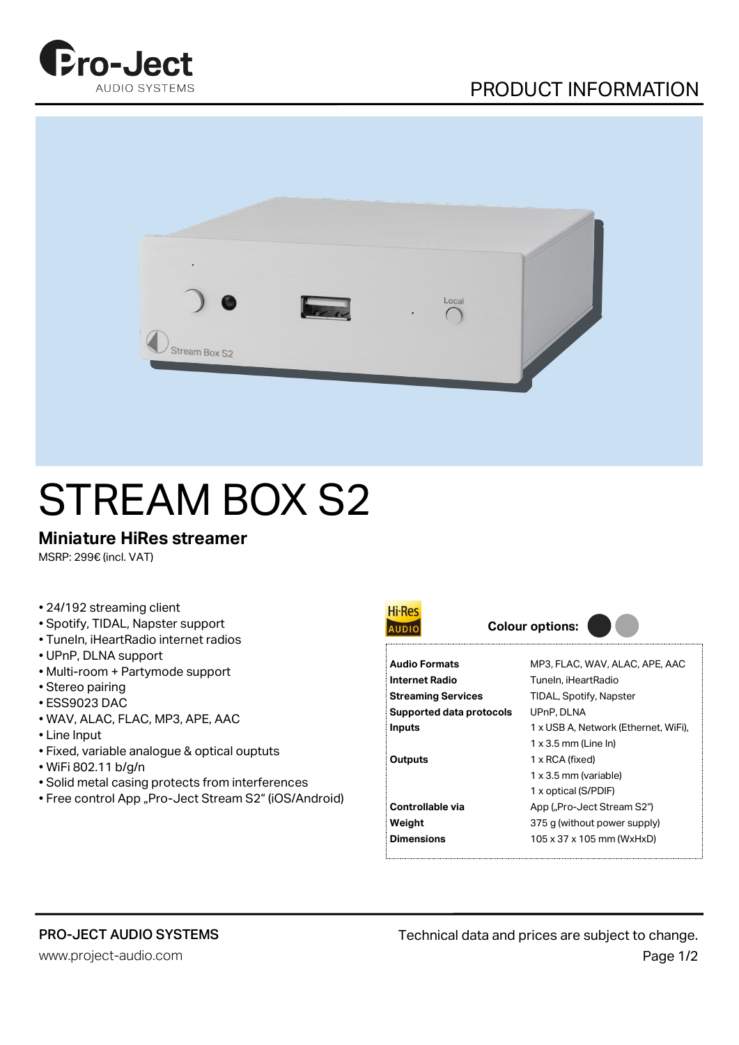





## STREAM BOX S2

## **Miniature HiRes streamer**

MSRP: 299€ (incl. VAT)

- 24/192 streaming client
- Spotify, TIDAL, Napster support
- TuneIn, iHeartRadio internet radios
- UPnP, DLNA support
- Multi-room + Partymode support
- Stereo pairing
- ESS9023 DAC
- WAV, ALAC, FLAC, MP3, APE, AAC
- Line Input
- Fixed, variable analogue & optical ouptuts
- WiFi 802.11 b/g/n
- Solid metal casing protects from interferences
- Free control App "Pro-Ject Stream S2" (iOS/Android)



| <b>Audio Formats</b>      | MP3, FLAC, WAV, ALAC, APE, AAC       |
|---------------------------|--------------------------------------|
| Internet Radio            | Tuneln, iHeartRadio                  |
| <b>Streaming Services</b> | TIDAL, Spotify, Napster              |
| Supported data protocols  | UPnP, DLNA                           |
| Inputs                    | 1 x USB A, Network (Ethernet, WiFi), |
|                           | $1 \times 3.5$ mm (Line In)          |
| <b>Outputs</b>            | 1 x RCA (fixed)                      |
|                           | 1 x 3.5 mm (variable)                |
|                           | 1 x optical (S/PDIF)                 |
| Controllable via          | App ("Pro-Ject Stream S2")           |
| Weight                    | 375 g (without power supply)         |

## PRO-JECT AUDIO SYSTEMS

www.project-audio.com

**Dimensions** 105 x 37 x 105 mm (WxHxD)